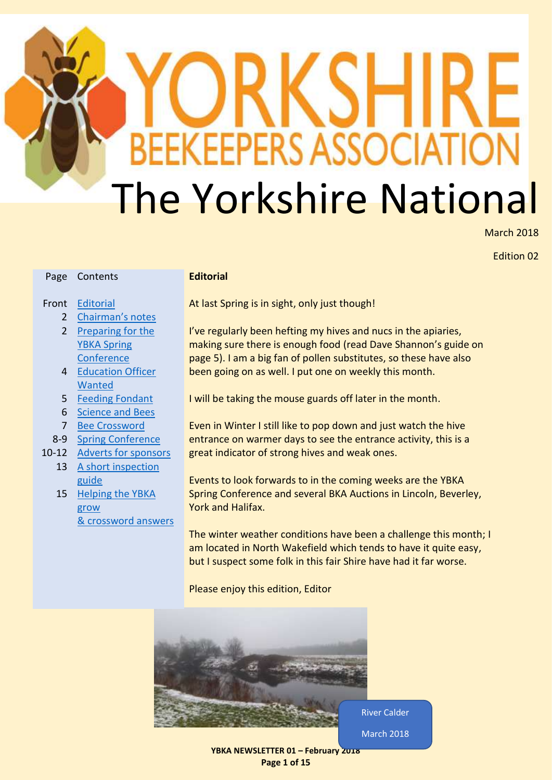# **BEEKEEPERS ASSOCIATIO** The Yorkshire National

March 2018

Edition 02

#### <span id="page-0-0"></span>**Editorial**

# Front [Editorial](#page-0-0)

Page Contents

- 2 [Chairman's notes](#page-1-0)
- 2 Preparing for the [YBKA Spring](#page-1-1)  **[Conference](#page-1-1)**
- 4 Education Officer [Wanted](#page-3-0)
- 5 [Feeding Fondant](#page-4-0)
- 6 [Science and Bees](#page-5-0)
- 7 [Bee Crossword](#page-6-0)
- 8-9 [Spring Conference](#page-7-0)
- 10-12 [Adverts for sponsors](#page-9-0)
	- 13 A short inspection [guide](#page-12-0)
		- 15 Helping the YBKA [grow](#page-14-0) [& crossword answers](#page-14-0)

At last Spring is in sight, only just though!

I've regularly been hefting my hives and nucs in the apiaries, making sure there is enough food (read Dave Shannon's guide on page 5). I am a big fan of pollen substitutes, so these have also been going on as well. I put one on weekly this month.

I will be taking the mouse guards off later in the month.

Even in Winter I still like to pop down and just watch the hive entrance on warmer days to see the entrance activity, this is a great indicator of strong hives and weak ones.

Events to look forwards to in the coming weeks are the YBKA Spring Conference and several BKA Auctions in Lincoln, Beverley, York and Halifax.

The winter weather conditions have been a challenge this month; I am located in North Wakefield which tends to have it quite easy, but I suspect some folk in this fair Shire have had it far worse.

Please enjoy this edition, Editor



**YBKA NEWSLETTER 01 – February 2018 Page 1 of 15**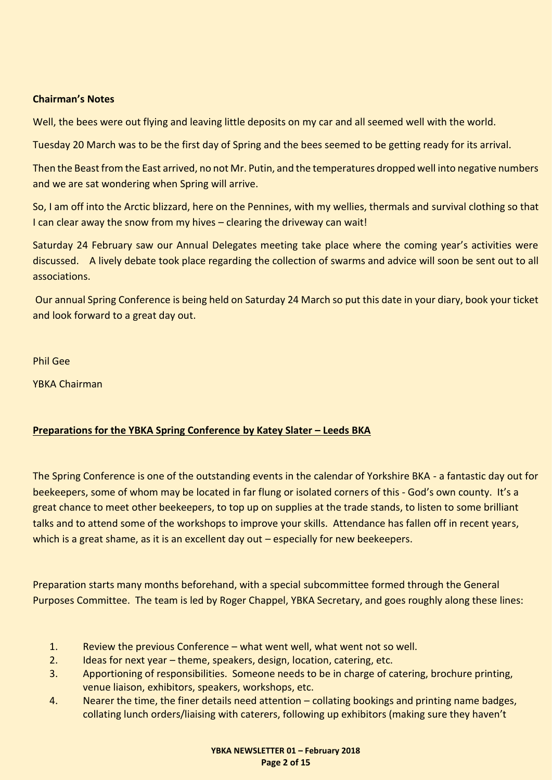#### <span id="page-1-0"></span>**Chairman's Notes**

Well, the bees were out flying and leaving little deposits on my car and all seemed well with the world.

Tuesday 20 March was to be the first day of Spring and the bees seemed to be getting ready for its arrival.

Then the Beast from the East arrived, no not Mr. Putin, and the temperatures dropped well into negative numbers and we are sat wondering when Spring will arrive.

So, I am off into the Arctic blizzard, here on the Pennines, with my wellies, thermals and survival clothing so that I can clear away the snow from my hives – clearing the driveway can wait!

Saturday 24 February saw our Annual Delegates meeting take place where the coming year's activities were discussed. A lively debate took place regarding the collection of swarms and advice will soon be sent out to all associations.

Our annual Spring Conference is being held on Saturday 24 March so put this date in your diary, book your ticket and look forward to a great day out.

Phil Gee

YBKA Chairman

#### <span id="page-1-1"></span>**Preparations for the YBKA Spring Conference by Katey Slater – Leeds BKA**

The Spring Conference is one of the outstanding events in the calendar of Yorkshire BKA - a fantastic day out for beekeepers, some of whom may be located in far flung or isolated corners of this - God's own county. It's a great chance to meet other beekeepers, to top up on supplies at the trade stands, to listen to some brilliant talks and to attend some of the workshops to improve your skills. Attendance has fallen off in recent years, which is a great shame, as it is an excellent day out – especially for new beekeepers.

Preparation starts many months beforehand, with a special subcommittee formed through the General Purposes Committee. The team is led by Roger Chappel, YBKA Secretary, and goes roughly along these lines:

- 1. Review the previous Conference what went well, what went not so well.
- 2. Ideas for next year theme, speakers, design, location, catering, etc.
- 3. Apportioning of responsibilities. Someone needs to be in charge of catering, brochure printing, venue liaison, exhibitors, speakers, workshops, etc.
- 4. Nearer the time, the finer details need attention collating bookings and printing name badges, collating lunch orders/liaising with caterers, following up exhibitors (making sure they haven't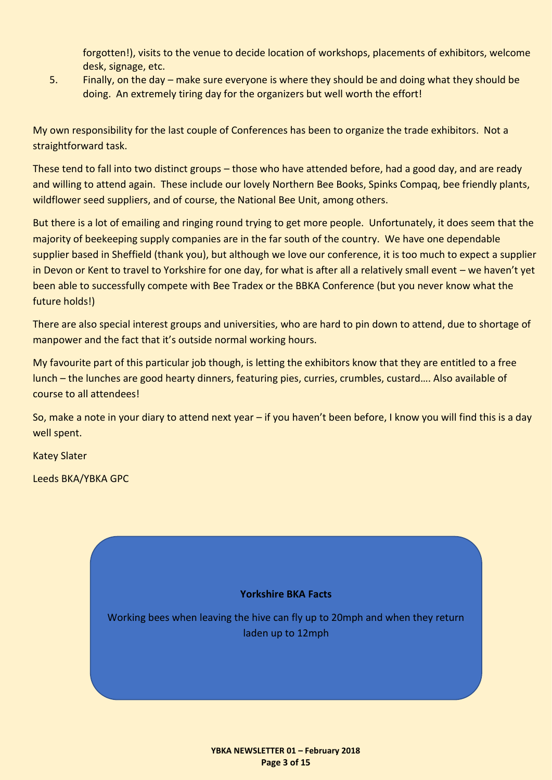forgotten!), visits to the venue to decide location of workshops, placements of exhibitors, welcome desk, signage, etc.

5. Finally, on the day – make sure everyone is where they should be and doing what they should be doing. An extremely tiring day for the organizers but well worth the effort!

My own responsibility for the last couple of Conferences has been to organize the trade exhibitors. Not a straightforward task.

These tend to fall into two distinct groups – those who have attended before, had a good day, and are ready and willing to attend again. These include our lovely Northern Bee Books, Spinks Compaq, bee friendly plants, wildflower seed suppliers, and of course, the National Bee Unit, among others.

But there is a lot of emailing and ringing round trying to get more people. Unfortunately, it does seem that the majority of beekeeping supply companies are in the far south of the country. We have one dependable supplier based in Sheffield (thank you), but although we love our conference, it is too much to expect a supplier in Devon or Kent to travel to Yorkshire for one day, for what is after all a relatively small event – we haven't yet been able to successfully compete with Bee Tradex or the BBKA Conference (but you never know what the future holds!)

There are also special interest groups and universities, who are hard to pin down to attend, due to shortage of manpower and the fact that it's outside normal working hours.

My favourite part of this particular job though, is letting the exhibitors know that they are entitled to a free lunch – the lunches are good hearty dinners, featuring pies, curries, crumbles, custard…. Also available of course to all attendees!

So, make a note in your diary to attend next year – if you haven't been before, I know you will find this is a day well spent.

Katey Slater

Leeds BKA/YBKA GPC

# **Yorkshire BKA Facts** Working bees when leaving the hive can fly up to 20mph and when they return laden up to 12mph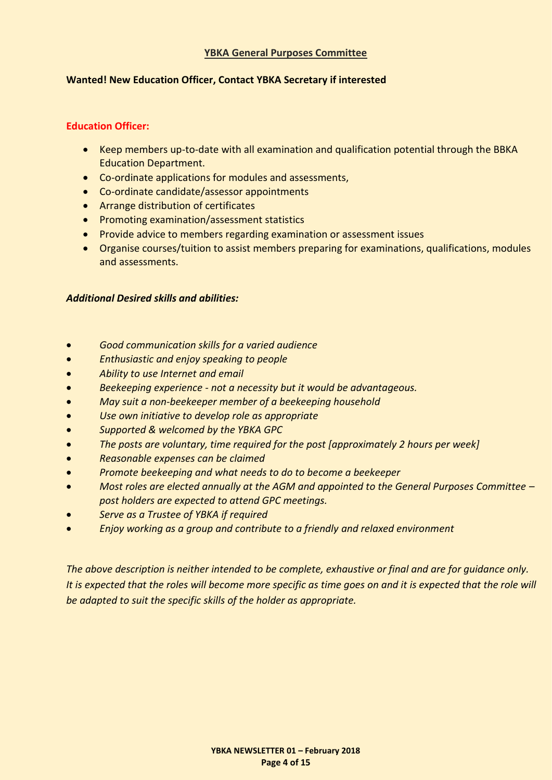#### **YBKA General Purposes Committee**

#### <span id="page-3-0"></span>**Wanted! New Education Officer, Contact YBKA Secretary if interested**

#### **Education Officer:**

- Keep members up-to-date with all examination and qualification potential through the BBKA Education Department.
- Co-ordinate applications for modules and assessments,
- Co-ordinate candidate/assessor appointments
- Arrange distribution of certificates
- Promoting examination/assessment statistics
- Provide advice to members regarding examination or assessment issues
- Organise courses/tuition to assist members preparing for examinations, qualifications, modules and assessments.

#### *Additional Desired skills and abilities:*

- *Good communication skills for a varied audience*
- *Enthusiastic and enjoy speaking to people*
- *Ability to use Internet and email*
- *Beekeeping experience - not a necessity but it would be advantageous.*
- *May suit a non-beekeeper member of a beekeeping household*
- *Use own initiative to develop role as appropriate*
- *Supported & welcomed by the YBKA GPC*
- *The posts are voluntary, time required for the post [approximately 2 hours per week]*
- *Reasonable expenses can be claimed*
- *Promote beekeeping and what needs to do to become a beekeeper*
- *Most roles are elected annually at the AGM and appointed to the General Purposes Committee – post holders are expected to attend GPC meetings.*
- *Serve as a Trustee of YBKA if required*
- *Enjoy working as a group and contribute to a friendly and relaxed environment*

*The above description is neither intended to be complete, exhaustive or final and are for guidance only. It is expected that the roles will become more specific as time goes on and it is expected that the role will be adapted to suit the specific skills of the holder as appropriate.*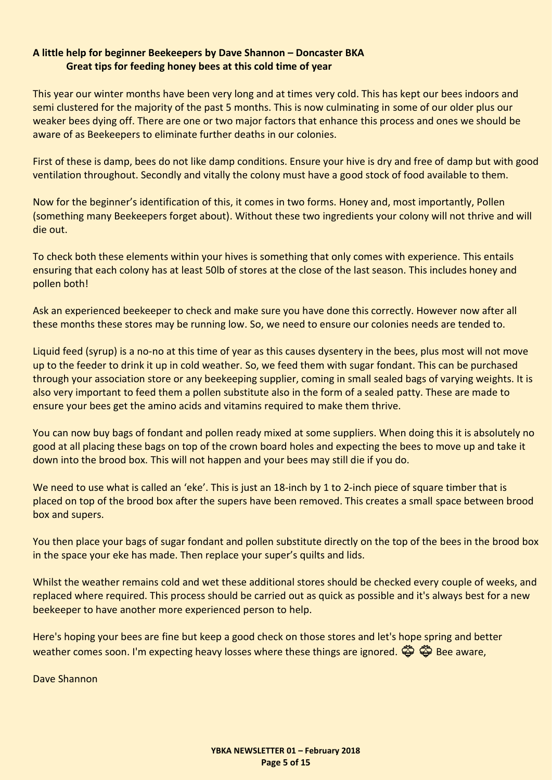#### <span id="page-4-0"></span>**A little help for beginner Beekeepers by Dave Shannon – Doncaster BKA Great tips for feeding honey bees at this cold time of year**

This year our winter months have been very long and at times very cold. This has kept our bees indoors and semi clustered for the majority of the past 5 months. This is now culminating in some of our older plus our weaker bees dying off. There are one or two major factors that enhance this process and ones we should be aware of as Beekeepers to eliminate further deaths in our colonies.

First of these is damp, bees do not like damp conditions. Ensure your hive is dry and free of damp but with good ventilation throughout. Secondly and vitally the colony must have a good stock of food available to them.

Now for the beginner's identification of this, it comes in two forms. Honey and, most importantly, Pollen (something many Beekeepers forget about). Without these two ingredients your colony will not thrive and will die out.

To check both these elements within your hives is something that only comes with experience. This entails ensuring that each colony has at least 50lb of stores at the close of the last season. This includes honey and pollen both!

Ask an experienced beekeeper to check and make sure you have done this correctly. However now after all these months these stores may be running low. So, we need to ensure our colonies needs are tended to.

Liquid feed (syrup) is a no-no at this time of year as this causes dysentery in the bees, plus most will not move up to the feeder to drink it up in cold weather. So, we feed them with sugar fondant. This can be purchased through your association store or any beekeeping supplier, coming in small sealed bags of varying weights. It is also very important to feed them a pollen substitute also in the form of a sealed patty. These are made to ensure your bees get the amino acids and vitamins required to make them thrive.

You can now buy bags of fondant and pollen ready mixed at some suppliers. When doing this it is absolutely no good at all placing these bags on top of the crown board holes and expecting the bees to move up and take it down into the brood box. This will not happen and your bees may still die if you do.

We need to use what is called an 'eke'. This is just an 18-inch by 1 to 2-inch piece of square timber that is placed on top of the brood box after the supers have been removed. This creates a small space between brood box and supers.

You then place your bags of sugar fondant and pollen substitute directly on the top of the bees in the brood box in the space your eke has made. Then replace your super's quilts and lids.

Whilst the weather remains cold and wet these additional stores should be checked every couple of weeks, and replaced where required. This process should be carried out as quick as possible and it's always best for a new beekeeper to have another more experienced person to help.

Here's hoping your bees are fine but keep a good check on those stores and let's hope spring and better weather comes soon. I'm expecting heavy losses where these things are ignored.  $\ddot{\ddot{\otimes}}$   $\ddot{\ddot{\otimes}}$  Bee aware,

Dave Shannon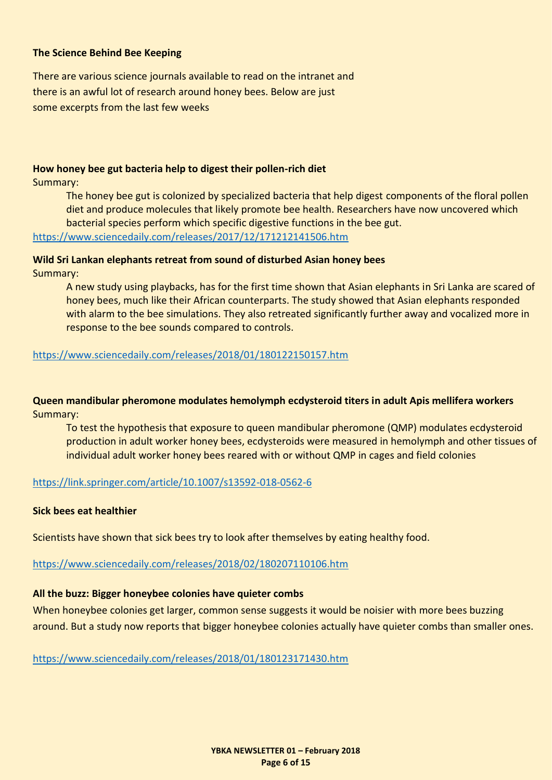#### <span id="page-5-0"></span>**The Science Behind Bee Keeping**

There are various science journals available to read on the intranet and there is an awful lot of research around honey bees. Below are just some excerpts from the last few weeks

#### **How honey bee gut bacteria help to digest their pollen-rich diet**

Summary:

The honey bee gut is colonized by specialized bacteria that help digest components of the floral pollen diet and produce molecules that likely promote bee health. Researchers have now uncovered which bacterial species perform which specific digestive functions in the bee gut. <https://www.sciencedaily.com/releases/2017/12/171212141506.htm>

#### **Wild Sri Lankan elephants retreat from sound of disturbed Asian honey bees**

Summary:

A new study using playbacks, has for the first time shown that Asian elephants in Sri Lanka are scared of honey bees, much like their African counterparts. The study showed that Asian elephants responded with alarm to the bee simulations. They also retreated significantly further away and vocalized more in response to the bee sounds compared to controls.

#### <https://www.sciencedaily.com/releases/2018/01/180122150157.htm>

**Queen mandibular pheromone modulates hemolymph ecdysteroid titers in adult Apis mellifera workers**  Summary:

To test the hypothesis that exposure to queen mandibular pheromone (QMP) modulates ecdysteroid production in adult worker honey bees, ecdysteroids were measured in hemolymph and other tissues of individual adult worker honey bees reared with or without QMP in cages and field colonies

#### <https://link.springer.com/article/10.1007/s13592-018-0562-6>

#### **Sick bees eat healthier**

Scientists have shown that sick bees try to look after themselves by eating healthy food.

<https://www.sciencedaily.com/releases/2018/02/180207110106.htm>

#### **All the buzz: Bigger honeybee colonies have quieter combs**

When honeybee colonies get larger, common sense suggests it would be noisier with more bees buzzing around. But a study now reports that bigger honeybee colonies actually have quieter combs than smaller ones.

<https://www.sciencedaily.com/releases/2018/01/180123171430.htm>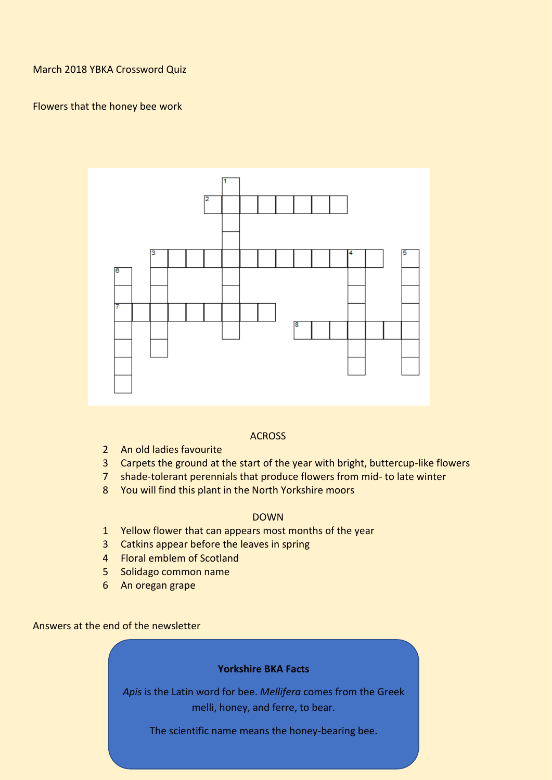<span id="page-6-0"></span>March 2018 YBKA Crossword Quiz

#### Flowers that the honey bee work



#### **ACROSS**

- 2 An old ladies favourite
- 3 Carpets the ground at the start of the year with bright, buttercup-like flowers
- 7 shade-tolerant perennials that produce flowers from mid- to late winter
- 8 You will find this plant in the North Yorkshire moors

#### DOWN

- 1 Yellow flower that can appears most months of the year
- 3 Catkins appear before the leaves in spring
- 4 Floral emblem of Scotland
- 5 Solidago common name
- 6 An oregan grape

Answers at the end of the newsletter

#### **Yorkshire BKA Facts**

*Apis* is the Latin word for bee. *Mellifera* comes from the Greek melli, honey, and ferre, to bear.

The scientific name means the honey-bearing bee.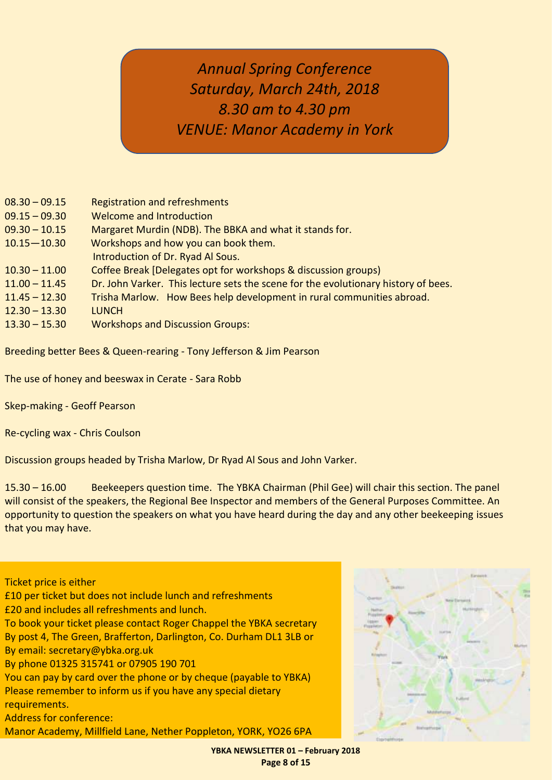# <span id="page-7-0"></span>*Annual Spring Conference Saturday, March 24th, 2018 8.30 am to 4.30 pm VENUE: Manor Academy in York*

| $08.30 - 09.15$ | <b>Registration and refreshments</b>                                               |
|-----------------|------------------------------------------------------------------------------------|
| $09.15 - 09.30$ | Welcome and Introduction                                                           |
| $09.30 - 10.15$ | Margaret Murdin (NDB). The BBKA and what it stands for.                            |
| $10.15 - 10.30$ | Workshops and how you can book them.                                               |
|                 | Introduction of Dr. Ryad Al Sous.                                                  |
| $10.30 - 11.00$ | Coffee Break [Delegates opt for workshops & discussion groups]                     |
| $11.00 - 11.45$ | Dr. John Varker. This lecture sets the scene for the evolutionary history of bees. |
| $11.45 - 12.30$ | Trisha Marlow. How Bees help development in rural communities abroad.              |
| $12.30 - 13.30$ | <b>LUNCH</b>                                                                       |
| $13.30 - 15.30$ | <b>Workshops and Discussion Groups:</b>                                            |

Breeding better Bees & Queen-rearing - Tony Jefferson & Jim Pearson

The use of honey and beeswax in Cerate - Sara Robb

Skep-making - Geoff Pearson

Re-cycling wax - Chris Coulson

Discussion groups headed by Trisha Marlow, Dr Ryad Al Sous and John Varker.

15.30 – 16.00 Beekeepers question time. The YBKA Chairman (Phil Gee) will chair this section. The panel will consist of the speakers, the Regional Bee Inspector and members of the General Purposes Committee. An opportunity to question the speakers on what you have heard during the day and any other beekeeping issues that you may have.

#### Ticket price is either £10 per ticket but does not include lunch and refreshments £20 and includes all refreshments and lunch. To book your ticket please contact Roger Chappel the YBKA secretary By post 4, The Green, Brafferton, Darlington, Co. Durham DL1 3LB or

By email: secretary@ybka.org.uk

By phone 01325 315741 or 07905 190 701

You can pay by card over the phone or by cheque (payable to YBKA) Please remember to inform us if you have any special dietary requirements.

Address for conference:

Manor Academy, Millfield Lane, Nether Poppleton, YORK, YO26 6PA



**YBKA NEWSLETTER 01 – February 2018 Page 8 of 15**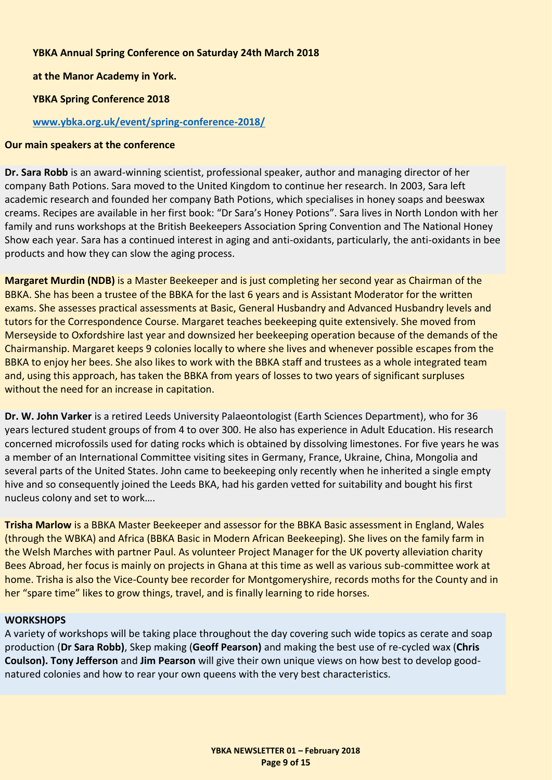#### **YBKA Annual Spring Conference on Saturday 24th March 2018**

**at the Manor Academy in York.**

**YBKA Spring Conference 2018**

#### **[www.ybka.org.uk/event/spring-conference-2018/](file:///C:/Users/eliza/Downloads/www.ybka.org.uk/event/spring-conference-2018/)**

#### **Our main speakers at the conference**

**Dr. Sara Robb** is an award-winning scientist, professional speaker, author and managing director of her company Bath Potions. Sara moved to the United Kingdom to continue her research. In 2003, Sara left academic research and founded her company Bath Potions, which specialises in honey soaps and beeswax creams. Recipes are available in her first book: "Dr Sara's Honey Potions". Sara lives in North London with her family and runs workshops at the British Beekeepers Association Spring Convention and The National Honey Show each year. Sara has a continued interest in aging and anti-oxidants, particularly, the anti-oxidants in bee products and how they can slow the aging process.

**Margaret Murdin (NDB)** is a Master Beekeeper and is just completing her second year as Chairman of the BBKA. She has been a trustee of the BBKA for the last 6 years and is Assistant Moderator for the written exams. She assesses practical assessments at Basic, General Husbandry and Advanced Husbandry levels and tutors for the Correspondence Course. Margaret teaches beekeeping quite extensively. She moved from Merseyside to Oxfordshire last year and downsized her beekeeping operation because of the demands of the Chairmanship. Margaret keeps 9 colonies locally to where she lives and whenever possible escapes from the BBKA to enjoy her bees. She also likes to work with the BBKA staff and trustees as a whole integrated team and, using this approach, has taken the BBKA from years of losses to two years of significant surpluses without the need for an increase in capitation.

**Dr. W. John Varker** is a retired Leeds University Palaeontologist (Earth Sciences Department), who for 36 years lectured student groups of from 4 to over 300. He also has experience in Adult Education. His research concerned microfossils used for dating rocks which is obtained by dissolving limestones. For five years he was a member of an International Committee visiting sites in Germany, France, Ukraine, China, Mongolia and several parts of the United States. John came to beekeeping only recently when he inherited a single empty hive and so consequently joined the Leeds BKA, had his garden vetted for suitability and bought his first nucleus colony and set to work….

**Trisha Marlow** is a BBKA Master Beekeeper and assessor for the BBKA Basic assessment in England, Wales (through the WBKA) and Africa (BBKA Basic in Modern African Beekeeping). She lives on the family farm in the Welsh Marches with partner Paul. As volunteer Project Manager for the UK poverty alleviation charity Bees Abroad, her focus is mainly on projects in Ghana at this time as well as various sub-committee work at home. Trisha is also the Vice-County bee recorder for Montgomeryshire, records moths for the County and in her "spare time" likes to grow things, travel, and is finally learning to ride horses.

#### **WORKSHOPS**

A variety of workshops will be taking place throughout the day covering such wide topics as cerate and soap production (**Dr Sara Robb)**, Skep making (**Geoff Pearson)** and making the best use of re-cycled wax (**Chris Coulson). Tony Jefferson** and **Jim Pearson** will give their own unique views on how best to develop goodnatured colonies and how to rear your own queens with the very best characteristics.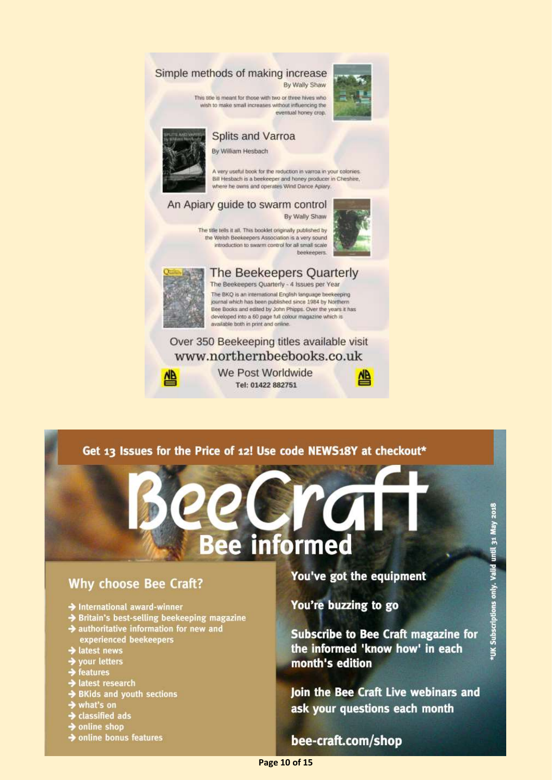#### <span id="page-9-0"></span>Simple methods of making increase By Wally Shaw

This site is meant for those with two or three hives who







#### **Splits and Varroa**

By William Hesbach

A very useful book for the reduction in varroa in your colorses. Bill Hesbach is a beekeeper and honey producer in Cheshire. where he owns and operates Wind Dance Aplary.

#### An Apiary quide to swarm control

By Wally Shaw

The title tells it all. This booklet originally published by the Welsh Beekeepers Association is a very sound introduction to swarm control for all small scale beekeepers



#### The Beekeepers Quarterly

The Beekeepers Quarterly - 4 Issues per Year The BKQ is an international English language beekeeping journal which has been published since 1984 by Northern Bee Books and edited by John Phipps. Over the years it has developed into a 60 page full colour magazine which is available both in print and online.

#### Over 350 Beekeeping titles available visit www.northernbeebooks.co.uk



We Post Worldwide Tel: 01422 882751



#### Get 13 Issues for the Price of 12! Use code NEWS18Y at checkout\*

# informed ρp

#### **Why choose Bee Craft?**

- $\rightarrow$  International award-winner
- → Britain's best-selling beekeeping magazine<br>→ authoritative information for new and
- experienced beekeepers
- latest news
- $\rightarrow$  your letters
- $\rightarrow$  features
- + latest research
- $\rightarrow$  BKids and youth sections
- $\rightarrow$  what's on
- $\rightarrow$  classified ads
- $\rightarrow$  online shop
- online bonus features

#### You've got the equipment

You're buzzing to go

**Subscribe to Bee Craft magazine for** the informed 'know how' in each month's edition

Join the Bee Craft Live webinars and ask your questions each month

#### bee-craft.com/shop **YBKA NEWSLETTER 01 – February 2018**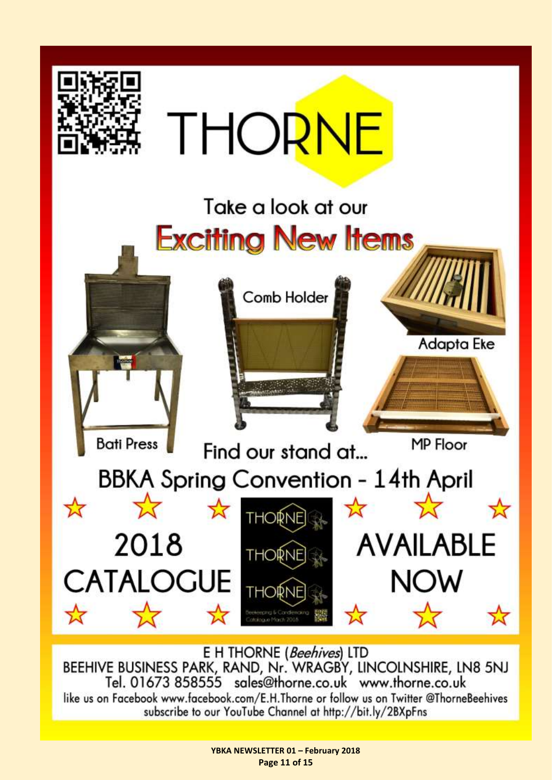

E H THORNE (Beehives) LTD BEEHIVE BUSINESS PARK, RAND, Nr. WRAGBY, LINCOLNSHIRE, LN8 5NJ Tel. 01673 858555 sales@thorne.co.uk www.thorne.co.uk like us on Facebook www.facebook.com/E.H.Thorne or follow us on Twitter @ThorneBeehives subscribe to our YouTube Channel at http://bit.ly/2BXpFns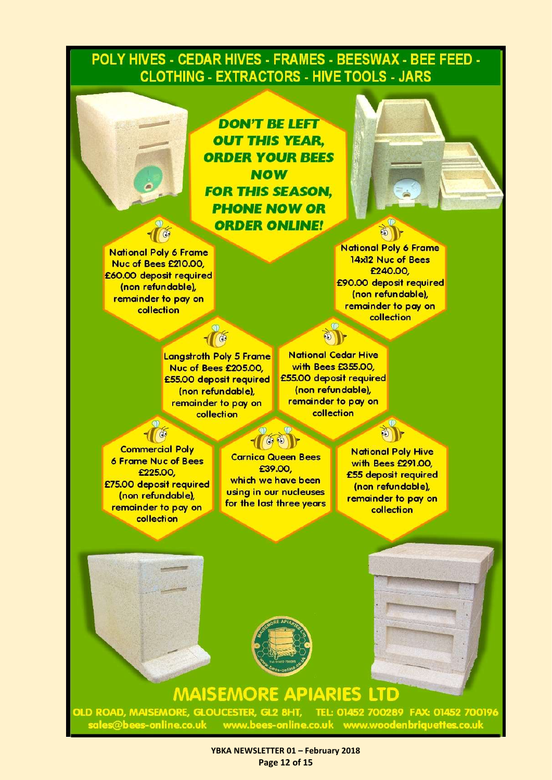### POLY HIVES - CEDAR HIVES - FRAMES - BEESWAX - BEE FEED -**CLOTHING - EXTRACTORS - HIVE TOOLS - JARS**

**DON'T BE LEFT OUT THIS YEAR. ORDER YOUR BEES NOW FOR THIS SEASON. PHONE NOW OR ORDER ONLINE!** 



**National Poly 6 Frame** 14x12 Nuc of Bees £240.00 £90.00 deposit required (non refundable). remainder to pay on collection

**Langstroth Poly 5 Frame** Nuc of Bees £205.00, £55.00 deposit required (non refundable), remainder to pay on collection

**National Cedar Hive** with Bees £355.00, £55.00 deposit required (non refundable), remainder to pay on collection

**Commercial Poly 6 Frame Nuc of Bees** £225.00 £75.00 deposit required (non refundable), remainder to pay on collection

 $60$ 

**Carnica Queen Bees** £39.00. which we have been using in our nucleuses for the last three years

**National Poly Hive** with Bees £291.00. £55 deposit required (non refundable), remainder to pay on collection



# **MAISEMORE APIARIES LTD**

OLD ROAD, MAISEMORE, GLOUCESTER, GL2 8HT, TEL: 01452 700289 FAX: 01452 700196 sales@bees-online.co.uk www.bees-online.co.uk www.woodenbriquettes.co.uk

> **YBKA NEWSLETTER 01 – February 2018 Page 12 of 15**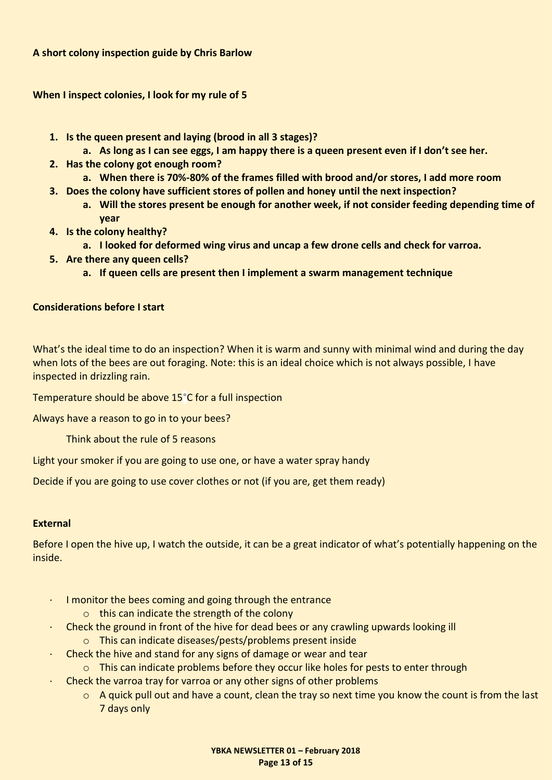<span id="page-12-0"></span>**When I inspect colonies, I look for my rule of 5** 

- **1. Is the queen present and laying (brood in all 3 stages)?**
	- **a. As long as I can see eggs, I am happy there is a queen present even if I don't see her.**
- **2. Has the colony got enough room?**
- **a. When there is 70%-80% of the frames filled with brood and/or stores, I add more room**
- **3. Does the colony have sufficient stores of pollen and honey until the next inspection?**
	- **a. Will the stores present be enough for another week, if not consider feeding depending time of year**
- **4. Is the colony healthy?**
	- **a. I looked for deformed wing virus and uncap a few drone cells and check for varroa.**
- **5. Are there any queen cells?**
	- **a. If queen cells are present then I implement a swarm management technique**

#### **Considerations before I start**

What's the ideal time to do an inspection? When it is warm and sunny with minimal wind and during the day when lots of the bees are out foraging. Note: this is an ideal choice which is not always possible, I have inspected in drizzling rain.

Temperature should be above 15°C for a full inspection

Always have a reason to go in to your bees?

Think about the rule of 5 reasons

Light your smoker if you are going to use one, or have a water spray handy

Decide if you are going to use cover clothes or not (if you are, get them ready)

#### **External**

Before I open the hive up, I watch the outside, it can be a great indicator of what's potentially happening on the inside.

- · I monitor the bees coming and going through the entrance
	- o this can indicate the strength of the colony
- · Check the ground in front of the hive for dead bees or any crawling upwards looking ill
	- o This can indicate diseases/pests/problems present inside
- · Check the hive and stand for any signs of damage or wear and tear
	- $\circ$  This can indicate problems before they occur like holes for pests to enter through
	- · Check the varroa tray for varroa or any other signs of other problems
		- $\circ$  A quick pull out and have a count, clean the tray so next time you know the count is from the last 7 days only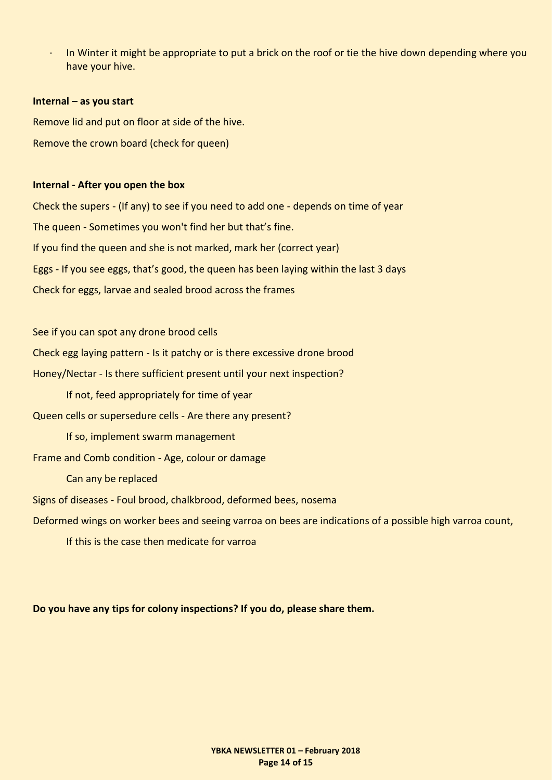In Winter it might be appropriate to put a brick on the roof or tie the hive down depending where you have your hive.

#### **Internal – as you start**

Remove lid and put on floor at side of the hive. Remove the crown board (check for queen)

#### **Internal - After you open the box**

Check the supers - (If any) to see if you need to add one - depends on time of year The queen - Sometimes you won't find her but that's fine. If you find the queen and she is not marked, mark her (correct year) Eggs - If you see eggs, that's good, the queen has been laying within the last 3 days Check for eggs, larvae and sealed brood across the frames

See if you can spot any drone brood cells

Check egg laying pattern - Is it patchy or is there excessive drone brood

Honey/Nectar - Is there sufficient present until your next inspection?

If not, feed appropriately for time of year

Queen cells or supersedure cells - Are there any present?

If so, implement swarm management

Frame and Comb condition - Age, colour or damage

Can any be replaced

Signs of diseases - Foul brood, chalkbrood, deformed bees, nosema

Deformed wings on worker bees and seeing varroa on bees are indications of a possible high varroa count,

If this is the case then medicate for varroa

**Do you have any tips for colony inspections? If you do, please share them.**